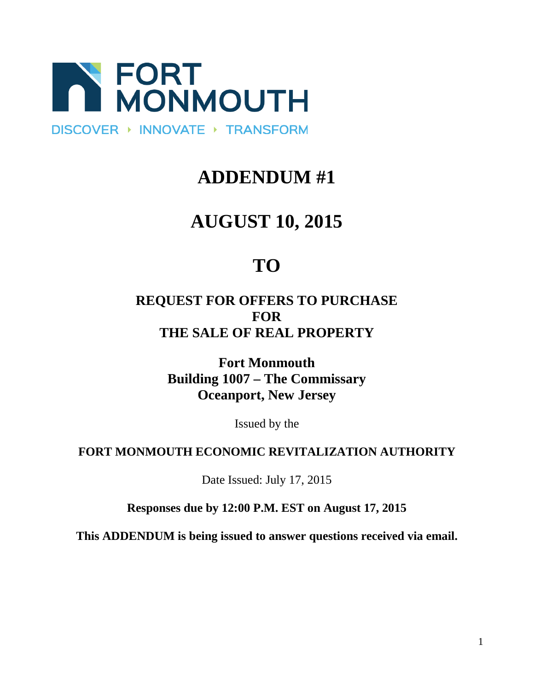

## **ADDENDUM #1**

# **AUGUST 10, 2015**

# **TO**

### **REQUEST FOR OFFERS TO PURCHASE FOR THE SALE OF REAL PROPERTY**

**Fort Monmouth Building 1007 – The Commissary Oceanport, New Jersey**

Issued by the

#### **FORT MONMOUTH ECONOMIC REVITALIZATION AUTHORITY**

Date Issued: July 17, 2015

**Responses due by 12:00 P.M. EST on August 17, 2015**

**This ADDENDUM is being issued to answer questions received via email.**